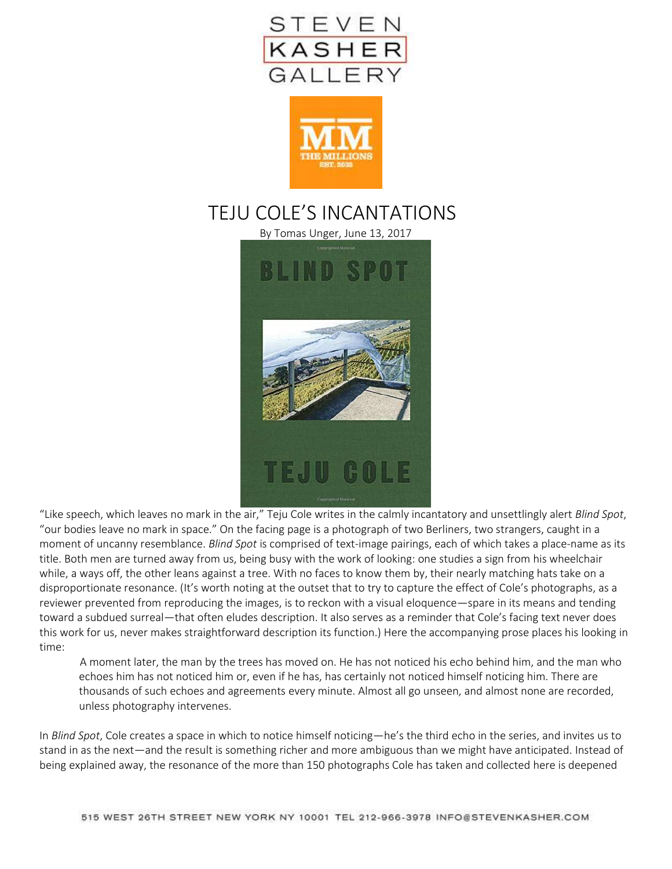



# TEJU COLE'S INCANTATIONS

By Tomas Unger, June 13, 2017



"Like speech, which leaves no mark in the air," Teju Cole writes in the calmly incantatory and unsettlingly alert *Blind Spot*, "our bodies leave no mark in space." On the facing page is a photograph of two Berliners, two strangers, caught in a moment of uncanny resemblance. *Blind Spot* is comprised of text-image pairings, each of which takes a place-name as its title. Both men are turned away from us, being busy with the work of looking: one studies a sign from his wheelchair while, a ways off, the other leans against a tree. With no faces to know them by, their nearly matching hats take on a disproportionate resonance. (It's worth noting at the outset that to try to capture the effect of Cole's photographs, as a reviewer prevented from reproducing the images, is to reckon with a visual eloquence—spare in its means and tending toward a subdued surreal—that often eludes description. It also serves as a reminder that Cole's facing text never does this work for us, never makes straightforward description its function.) Here the accompanying prose places his looking in time:

A moment later, the man by the trees has moved on. He has not noticed his echo behind him, and the man who echoes him has not noticed him or, even if he has, has certainly not noticed himself noticing him. There are thousands of such echoes and agreements every minute. Almost all go unseen, and almost none are recorded, unless photography intervenes.

In *Blind Spot*, Cole creates a space in which to notice himself noticing—he's the third echo in the series, and invites us to stand in as the next—and the result is something richer and more ambiguous than we might have anticipated. Instead of being explained away, the resonance of the more than 150 photographs Cole has taken and collected here is deepened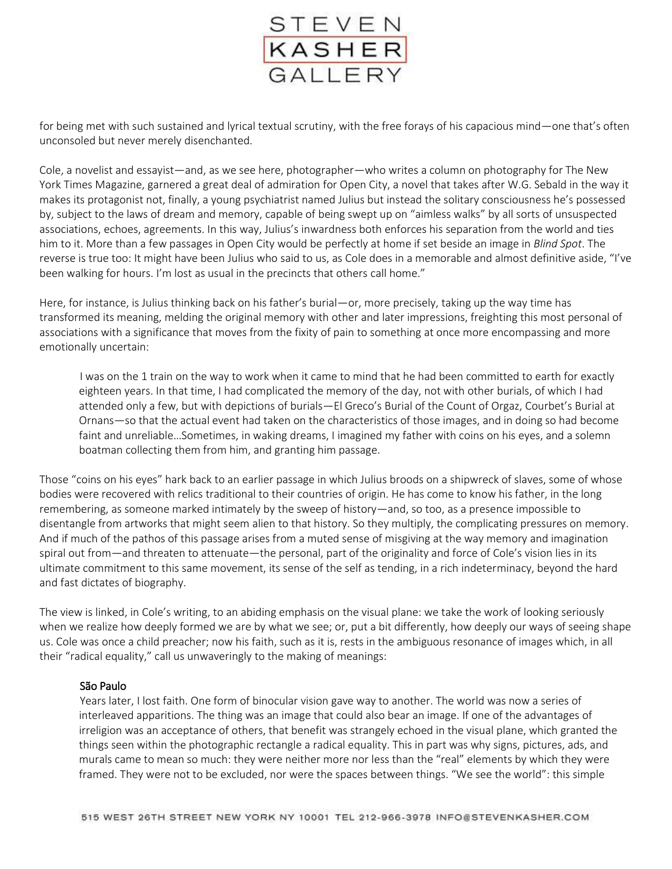

for being met with such sustained and lyrical textual scrutiny, with the free forays of his capacious mind—one that's often unconsoled but never merely disenchanted.

Cole, a novelist and essayist—and, as we see here, photographer—who writes a column on photography for The New York Times Magazine, garnered a great deal of admiration for Open City, a novel that takes after W.G. Sebald in the way it makes its protagonist not, finally, a young psychiatrist named Julius but instead the solitary consciousness he's possessed by, subject to the laws of dream and memory, capable of being swept up on "aimless walks" by all sorts of unsuspected associations, echoes, agreements. In this way, Julius's inwardness both enforces his separation from the world and ties him to it. More than a few passages in Open City would be perfectly at home if set beside an image in *Blind Spot*. The reverse is true too: It might have been Julius who said to us, as Cole does in a memorable and almost definitive aside, "I've been walking for hours. I'm lost as usual in the precincts that others call home."

Here, for instance, is Julius thinking back on his father's burial—or, more precisely, taking up the way time has transformed its meaning, melding the original memory with other and later impressions, freighting this most personal of associations with a significance that moves from the fixity of pain to something at once more encompassing and more emotionally uncertain:

I was on the 1 train on the way to work when it came to mind that he had been committed to earth for exactly eighteen years. In that time, I had complicated the memory of the day, not with other burials, of which I had attended only a few, but with depictions of burials—El Greco's Burial of the Count of Orgaz, Courbet's Burial at Ornans—so that the actual event had taken on the characteristics of those images, and in doing so had become faint and unreliable…Sometimes, in waking dreams, I imagined my father with coins on his eyes, and a solemn boatman collecting them from him, and granting him passage.

Those "coins on his eyes" hark back to an earlier passage in which Julius broods on a shipwreck of slaves, some of whose bodies were recovered with relics traditional to their countries of origin. He has come to know his father, in the long remembering, as someone marked intimately by the sweep of history—and, so too, as a presence impossible to disentangle from artworks that might seem alien to that history. So they multiply, the complicating pressures on memory. And if much of the pathos of this passage arises from a muted sense of misgiving at the way memory and imagination spiral out from—and threaten to attenuate—the personal, part of the originality and force of Cole's vision lies in its ultimate commitment to this same movement, its sense of the self as tending, in a rich indeterminacy, beyond the hard and fast dictates of biography.

The view is linked, in Cole's writing, to an abiding emphasis on the visual plane: we take the work of looking seriously when we realize how deeply formed we are by what we see; or, put a bit differently, how deeply our ways of seeing shape us. Cole was once a child preacher; now his faith, such as it is, rests in the ambiguous resonance of images which, in all their "radical equality," call us unwaveringly to the making of meanings:

## São Paulo

Years later, I lost faith. One form of binocular vision gave way to another. The world was now a series of interleaved apparitions. The thing was an image that could also bear an image. If one of the advantages of irreligion was an acceptance of others, that benefit was strangely echoed in the visual plane, which granted the things seen within the photographic rectangle a radical equality. This in part was why signs, pictures, ads, and murals came to mean so much: they were neither more nor less than the "real" elements by which they were framed. They were not to be excluded, nor were the spaces between things. "We see the world": this simple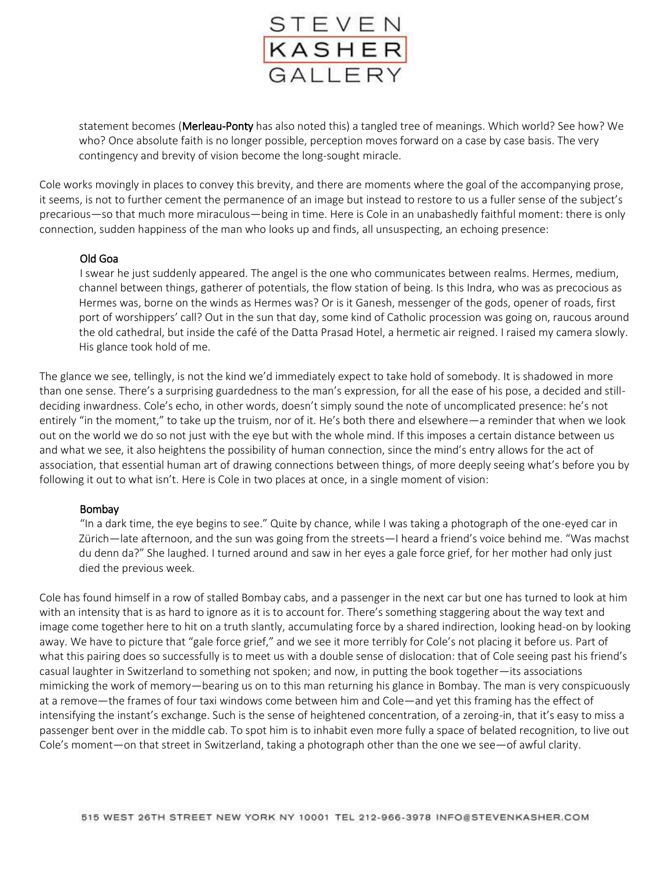

statement becomes (Merleau-Ponty has also noted this) a tangled tree of meanings. Which world? See how? We who? Once absolute faith is no longer possible, perception moves forward on a case by case basis. The very contingency and brevity of vision become the long-sought miracle.

Cole works movingly in places to convey this brevity, and there are moments where the goal of the accompanying prose, it seems, is not to further cement the permanence of an image but instead to restore to us a fuller sense of the subject's precarious—so that much more miraculous—being in time. Here is Cole in an unabashedly faithful moment: there is only connection, sudden happiness of the man who looks up and finds, all unsuspecting, an echoing presence:

#### Old Goa

I swear he just suddenly appeared. The angel is the one who communicates between realms. Hermes, medium, channel between things, gatherer of potentials, the flow station of being. Is this Indra, who was as precocious as Hermes was, borne on the winds as Hermes was? Or is it Ganesh, messenger of the gods, opener of roads, first port of worshippers' call? Out in the sun that day, some kind of Catholic procession was going on, raucous around the old cathedral, but inside the café of the Datta Prasad Hotel, a hermetic air reigned. I raised my camera slowly. His glance took hold of me.

The glance we see, tellingly, is not the kind we'd immediately expect to take hold of somebody. It is shadowed in more than one sense. There's a surprising guardedness to the man's expression, for all the ease of his pose, a decided and stilldeciding inwardness. Cole's echo, in other words, doesn't simply sound the note of uncomplicated presence: he's not entirely "in the moment," to take up the truism, nor of it. He's both there and elsewhere—a reminder that when we look out on the world we do so not just with the eye but with the whole mind. If this imposes a certain distance between us and what we see, it also heightens the possibility of human connection, since the mind's entry allows for the act of association, that essential human art of drawing connections between things, of more deeply seeing what's before you by following it out to what isn't. Here is Cole in two places at once, in a single moment of vision:

#### Bombay

"In a dark time, the eye begins to see." Quite by chance, while I was taking a photograph of the one-eyed car in Zürich—late afternoon, and the sun was going from the streets—I heard a friend's voice behind me. "Was machst du denn da?" She laughed. I turned around and saw in her eyes a gale force grief, for her mother had only just died the previous week.

Cole has found himself in a row of stalled Bombay cabs, and a passenger in the next car but one has turned to look at him with an intensity that is as hard to ignore as it is to account for. There's something staggering about the way text and image come together here to hit on a truth slantly, accumulating force by a shared indirection, looking head-on by looking away. We have to picture that "gale force grief," and we see it more terribly for Cole's not placing it before us. Part of what this pairing does so successfully is to meet us with a double sense of dislocation: that of Cole seeing past his friend's casual laughter in Switzerland to something not spoken; and now, in putting the book together—its associations mimicking the work of memory—bearing us on to this man returning his glance in Bombay. The man is very conspicuously at a remove—the frames of four taxi windows come between him and Cole—and yet this framing has the effect of intensifying the instant's exchange. Such is the sense of heightened concentration, of a zeroing-in, that it's easy to miss a passenger bent over in the middle cab. To spot him is to inhabit even more fully a space of belated recognition, to live out Cole's moment—on that street in Switzerland, taking a photograph other than the one we see—of awful clarity.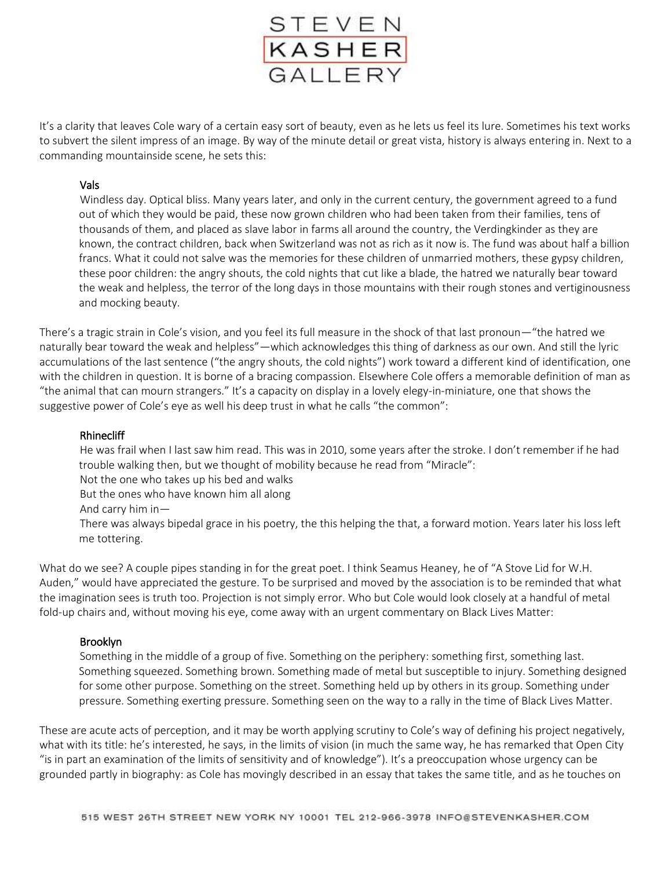

It's a clarity that leaves Cole wary of a certain easy sort of beauty, even as he lets us feel its lure. Sometimes his text works to subvert the silent impress of an image. By way of the minute detail or great vista, history is always entering in. Next to a commanding mountainside scene, he sets this:

## Vals

Windless day. Optical bliss. Many years later, and only in the current century, the government agreed to a fund out of which they would be paid, these now grown children who had been taken from their families, tens of thousands of them, and placed as slave labor in farms all around the country, the Verdingkinder as they are known, the contract children, back when Switzerland was not as rich as it now is. The fund was about half a billion francs. What it could not salve was the memories for these children of unmarried mothers, these gypsy children, these poor children: the angry shouts, the cold nights that cut like a blade, the hatred we naturally bear toward the weak and helpless, the terror of the long days in those mountains with their rough stones and vertiginousness and mocking beauty.

There's a tragic strain in Cole's vision, and you feel its full measure in the shock of that last pronoun—"the hatred we naturally bear toward the weak and helpless"—which acknowledges this thing of darkness as our own. And still the lyric accumulations of the last sentence ("the angry shouts, the cold nights") work toward a different kind of identification, one with the children in question. It is borne of a bracing compassion. Elsewhere Cole offers a memorable definition of man as "the animal that can mourn strangers." It's a capacity on display in a lovely elegy-in-miniature, one that shows the suggestive power of Cole's eye as well his deep trust in what he calls "the common":

#### Rhinecliff

He was frail when I last saw him read. This was in 2010, some years after the stroke. I don't remember if he had trouble walking then, but we thought of mobility because he read from "Miracle":

Not the one who takes up his bed and walks

But the ones who have known him all along

And carry him in—

There was always bipedal grace in his poetry, the this helping the that, a forward motion. Years later his loss left me tottering.

What do we see? A couple pipes standing in for the great poet. I think Seamus Heaney, he of "A Stove Lid for W.H. Auden," would have appreciated the gesture. To be surprised and moved by the association is to be reminded that what the imagination sees is truth too. Projection is not simply error. Who but Cole would look closely at a handful of metal fold-up chairs and, without moving his eye, come away with an urgent commentary on Black Lives Matter:

## Brooklyn

Something in the middle of a group of five. Something on the periphery: something first, something last. Something squeezed. Something brown. Something made of metal but susceptible to injury. Something designed for some other purpose. Something on the street. Something held up by others in its group. Something under pressure. Something exerting pressure. Something seen on the way to a rally in the time of Black Lives Matter.

These are acute acts of perception, and it may be worth applying scrutiny to Cole's way of defining his project negatively, what with its title: he's interested, he says, in the limits of vision (in much the same way, he has remarked that Open City "is in part an examination of the limits of sensitivity and of knowledge"). It's a preoccupation whose urgency can be grounded partly in biography: as Cole has movingly described in an essay that takes the same title, and as he touches on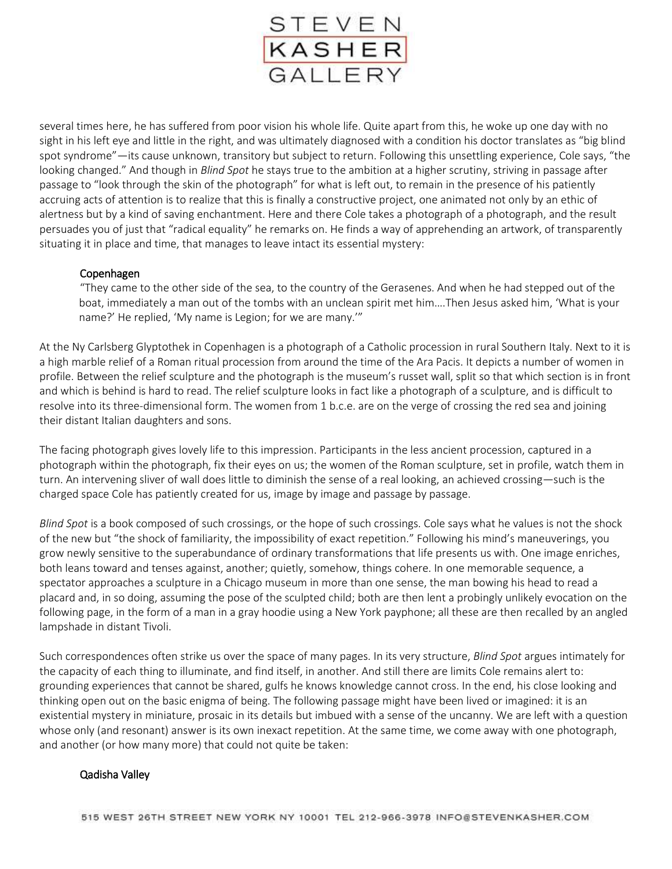

several times here, he has suffered from poor vision his whole life. Quite apart from this, he woke up one day with no sight in his left eye and little in the right, and was ultimately diagnosed with a condition his doctor translates as "big blind spot syndrome"—its cause unknown, transitory but subject to return. Following this unsettling experience, Cole says, "the looking changed." And though in *Blind Spot* he stays true to the ambition at a higher scrutiny, striving in passage after passage to "look through the skin of the photograph" for what is left out, to remain in the presence of his patiently accruing acts of attention is to realize that this is finally a constructive project, one animated not only by an ethic of alertness but by a kind of saving enchantment. Here and there Cole takes a photograph of a photograph, and the result persuades you of just that "radical equality" he remarks on. He finds a way of apprehending an artwork, of transparently situating it in place and time, that manages to leave intact its essential mystery:

## Copenhagen

"They came to the other side of the sea, to the country of the Gerasenes. And when he had stepped out of the boat, immediately a man out of the tombs with an unclean spirit met him….Then Jesus asked him, 'What is your name?' He replied, 'My name is Legion; for we are many.'"

At the Ny Carlsberg Glyptothek in Copenhagen is a photograph of a Catholic procession in rural Southern Italy. Next to it is a high marble relief of a Roman ritual procession from around the time of the Ara Pacis. It depicts a number of women in profile. Between the relief sculpture and the photograph is the museum's russet wall, split so that which section is in front and which is behind is hard to read. The relief sculpture looks in fact like a photograph of a sculpture, and is difficult to resolve into its three-dimensional form. The women from 1 b.c.e. are on the verge of crossing the red sea and joining their distant Italian daughters and sons.

The facing photograph gives lovely life to this impression. Participants in the less ancient procession, captured in a photograph within the photograph, fix their eyes on us; the women of the Roman sculpture, set in profile, watch them in turn. An intervening sliver of wall does little to diminish the sense of a real looking, an achieved crossing—such is the charged space Cole has patiently created for us, image by image and passage by passage.

*Blind Spot* is a book composed of such crossings, or the hope of such crossings. Cole says what he values is not the shock of the new but "the shock of familiarity, the impossibility of exact repetition." Following his mind's maneuverings, you grow newly sensitive to the superabundance of ordinary transformations that life presents us with. One image enriches, both leans toward and tenses against, another; quietly, somehow, things cohere. In one memorable sequence, a spectator approaches a sculpture in a Chicago museum in more than one sense, the man bowing his head to read a placard and, in so doing, assuming the pose of the sculpted child; both are then lent a probingly unlikely evocation on the following page, in the form of a man in a gray hoodie using a New York payphone; all these are then recalled by an angled lampshade in distant Tivoli.

Such correspondences often strike us over the space of many pages. In its very structure, *Blind Spot* argues intimately for the capacity of each thing to illuminate, and find itself, in another. And still there are limits Cole remains alert to: grounding experiences that cannot be shared, gulfs he knows knowledge cannot cross. In the end, his close looking and thinking open out on the basic enigma of being. The following passage might have been lived or imagined: it is an existential mystery in miniature, prosaic in its details but imbued with a sense of the uncanny. We are left with a question whose only (and resonant) answer is its own inexact repetition. At the same time, we come away with one photograph, and another (or how many more) that could not quite be taken:

## Qadisha Valley